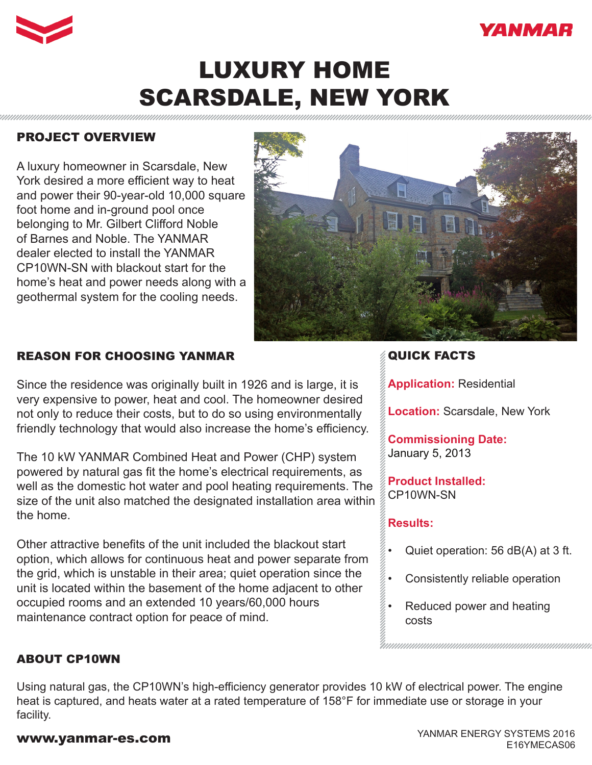



# LUXURY HOME SCARSDALE, NEW YORK

## PROJECT OVERVIEW

A luxury homeowner in Scarsdale, New York desired a more efficient way to heat and power their 90-year-old 10,000 square foot home and in-ground pool once belonging to Mr. Gilbert Clifford Noble of Barnes and Noble. The YANMAR dealer elected to install the YANMAR CP10WN-SN with blackout start for the home's heat and power needs along with a geothermal system for the cooling needs.



# REASON FOR CHOOSING YANMAR

Since the residence was originally built in 1926 and is large, it is very expensive to power, heat and cool. The homeowner desired not only to reduce their costs, but to do so using environmentally friendly technology that would also increase the home's efficiency.

The 10 kW YANMAR Combined Heat and Power (CHP) system powered by natural gas fit the home's electrical requirements, as well as the domestic hot water and pool heating requirements. The size of the unit also matched the designated installation area within the home.

Other attractive benefits of the unit included the blackout start option, which allows for continuous heat and power separate from the grid, which is unstable in their area; quiet operation since the unit is located within the basement of the home adjacent to other occupied rooms and an extended 10 years/60,000 hours maintenance contract option for peace of mind.

## QUICK FACTS

**Application:** Residential

**Location:** Scarsdale, New York

**Commissioning Date:**  January 5, 2013

**Product Installed:** CP10WN-SN

### **Results:**

- Quiet operation: 56 dB(A) at 3 ft.
- Consistently reliable operation
- Reduced power and heating costs

### ABOUT CP10WN

Using natural gas, the CP10WN's high-efficiency generator provides 10 kW of electrical power. The engine heat is captured, and heats water at a rated temperature of 158°F for immediate use or storage in your facility.